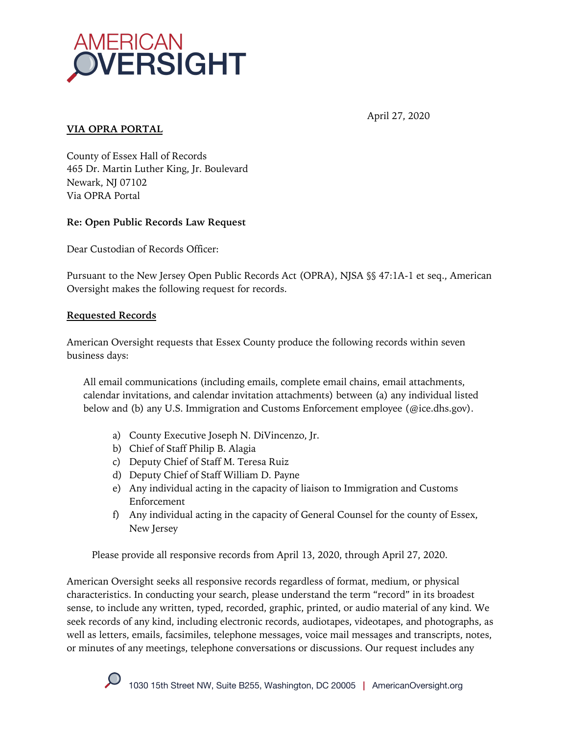

### April 27, 2020

#### **VIA OPRA PORTAL**

County of Essex Hall of Records 465 Dr. Martin Luther King, Jr. Boulevard Newark, NJ 07102 Via OPRA Portal

# **Re: Open Public Records Law Request**

Dear Custodian of Records Officer:

Pursuant to the New Jersey Open Public Records Act (OPRA), NJSA §§ 47:1A-1 et seq., American Oversight makes the following request for records.

# **Requested Records**

American Oversight requests that Essex County produce the following records within seven business days:

All email communications (including emails, complete email chains, email attachments, calendar invitations, and calendar invitation attachments) between (a) any individual listed below and (b) any U.S. Immigration and Customs Enforcement employee (@ice.dhs.gov).

- a) County Executive Joseph N. DiVincenzo, Jr.
- b) Chief of Staff Philip B. Alagia
- c) Deputy Chief of Staff M. Teresa Ruiz
- d) Deputy Chief of Staff William D. Payne
- e) Any individual acting in the capacity of liaison to Immigration and Customs Enforcement
- f) Any individual acting in the capacity of General Counsel for the county of Essex, New Jersey

Please provide all responsive records from April 13, 2020, through April 27, 2020.

American Oversight seeks all responsive records regardless of format, medium, or physical characteristics. In conducting your search, please understand the term "record" in its broadest sense, to include any written, typed, recorded, graphic, printed, or audio material of any kind. We seek records of any kind, including electronic records, audiotapes, videotapes, and photographs, as well as letters, emails, facsimiles, telephone messages, voice mail messages and transcripts, notes, or minutes of any meetings, telephone conversations or discussions. Our request includes any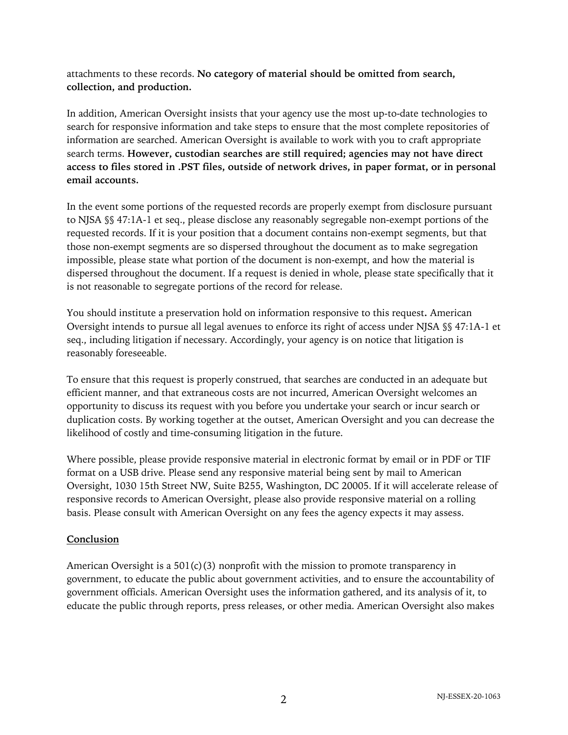attachments to these records. **No category of material should be omitted from search, collection, and production.**

In addition, American Oversight insists that your agency use the most up-to-date technologies to search for responsive information and take steps to ensure that the most complete repositories of information are searched. American Oversight is available to work with you to craft appropriate search terms. **However, custodian searches are still required; agencies may not have direct access to files stored in .PST files, outside of network drives, in paper format, or in personal email accounts.**

In the event some portions of the requested records are properly exempt from disclosure pursuant to NJSA §§ 47:1A-1 et seq., please disclose any reasonably segregable non-exempt portions of the requested records. If it is your position that a document contains non-exempt segments, but that those non-exempt segments are so dispersed throughout the document as to make segregation impossible, please state what portion of the document is non-exempt, and how the material is dispersed throughout the document. If a request is denied in whole, please state specifically that it is not reasonable to segregate portions of the record for release.

You should institute a preservation hold on information responsive to this request**.** American Oversight intends to pursue all legal avenues to enforce its right of access under NJSA §§ 47:1A-1 et seq., including litigation if necessary. Accordingly, your agency is on notice that litigation is reasonably foreseeable.

To ensure that this request is properly construed, that searches are conducted in an adequate but efficient manner, and that extraneous costs are not incurred, American Oversight welcomes an opportunity to discuss its request with you before you undertake your search or incur search or duplication costs. By working together at the outset, American Oversight and you can decrease the likelihood of costly and time-consuming litigation in the future.

Where possible, please provide responsive material in electronic format by email or in PDF or TIF format on a USB drive. Please send any responsive material being sent by mail to American Oversight, 1030 15th Street NW, Suite B255, Washington, DC 20005. If it will accelerate release of responsive records to American Oversight, please also provide responsive material on a rolling basis. Please consult with American Oversight on any fees the agency expects it may assess.

#### **Conclusion**

American Oversight is a 501(c)(3) nonprofit with the mission to promote transparency in government, to educate the public about government activities, and to ensure the accountability of government officials. American Oversight uses the information gathered, and its analysis of it, to educate the public through reports, press releases, or other media. American Oversight also makes